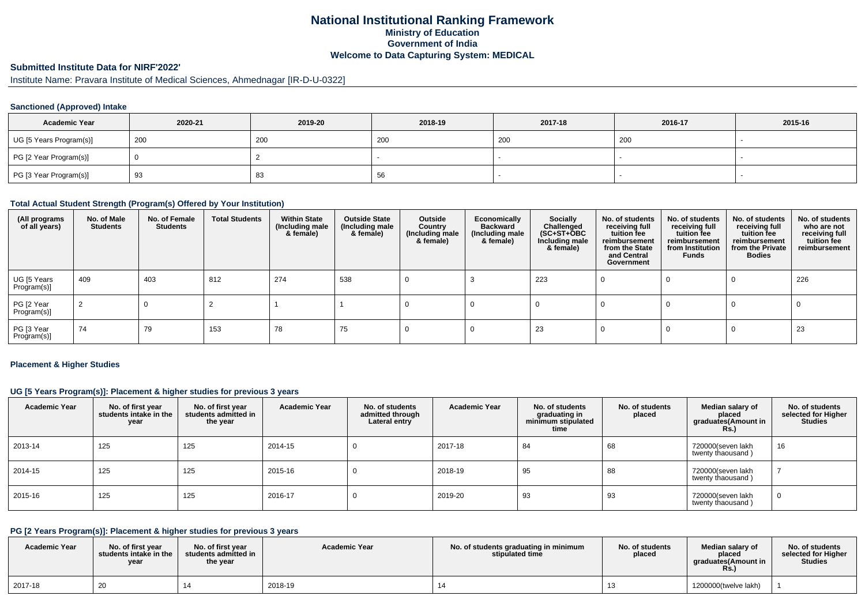### **National Institutional Ranking FrameworkMinistry of Education Government of IndiaWelcome to Data Capturing System: MEDICAL**

### **Submitted Institute Data for NIRF'2022'**

Institute Name: Pravara Institute of Medical Sciences, Ahmednagar [IR-D-U-0322]

#### **Sanctioned (Approved) Intake**

| <b>Academic Year</b>    | 2020-21 | 2019-20 | 2018-19 | 2017-18 | 2016-17 | 2015-16 |
|-------------------------|---------|---------|---------|---------|---------|---------|
| UG [5 Years Program(s)] | 200     | 200     | 200     | 200     | 200     |         |
| PG [2 Year Program(s)]  |         |         |         |         |         |         |
| PG [3 Year Program(s)]  | 93      | ၀၁      | 56      |         |         |         |

#### **Total Actual Student Strength (Program(s) Offered by Your Institution)**

| (All programs<br>of all years) | No. of Male<br><b>Students</b> | No. of Female<br><b>Students</b> | <b>Total Students</b> | <b>Within State</b><br>(Including male<br>& female) | <b>Outside State</b><br>(Including male<br>& female) | Outside<br>Country<br>(Including male<br>& female) | Economically<br><b>Backward</b><br>(Including male<br>& female) | Socially<br>Challenged<br>$(SC+ST+OBC)$<br>Including male<br>& female) | No. of students<br>receiving full<br>tuition fee<br>reimbursement<br>from the State<br>and Central<br>Government | No. of students<br>receiving full<br>tuition fee<br>reimbursement<br>from Institution<br>Funds | No. of students<br>receiving full<br>tuition fee<br>reimbursement<br>from the Private<br><b>Bodies</b> | No. of students<br>who are not<br>receiving full<br>tuition fee<br>reimbursement |
|--------------------------------|--------------------------------|----------------------------------|-----------------------|-----------------------------------------------------|------------------------------------------------------|----------------------------------------------------|-----------------------------------------------------------------|------------------------------------------------------------------------|------------------------------------------------------------------------------------------------------------------|------------------------------------------------------------------------------------------------|--------------------------------------------------------------------------------------------------------|----------------------------------------------------------------------------------|
| UG [5 Years<br>Program(s)]     | 409                            | 403                              | 812                   | 274                                                 | 538                                                  |                                                    |                                                                 | 223                                                                    |                                                                                                                  |                                                                                                |                                                                                                        | 226                                                                              |
| PG [2 Year<br>Program(s)]      | 2                              | 0                                |                       |                                                     |                                                      |                                                    |                                                                 |                                                                        |                                                                                                                  |                                                                                                |                                                                                                        |                                                                                  |
| PG [3 Year<br>Program(s)]      | 74                             | 79                               | 153                   | 78                                                  | 75                                                   |                                                    |                                                                 | 23                                                                     |                                                                                                                  |                                                                                                |                                                                                                        | 23                                                                               |

#### **Placement & Higher Studies**

### **UG [5 Years Program(s)]: Placement & higher studies for previous 3 years**

| <b>Academic Year</b> | No. of first year<br>students intake in the<br>year | No. of first year<br>students admitted in<br>the year | <b>Academic Year</b> | No. of students<br>admitted through<br>Lateral entry | <b>Academic Year</b> | No. of students<br>graduating in<br>minimum stipulated<br>time | No. of students<br>placed | Median salary of<br>placed<br>graduates(Amount in<br><b>Rs.)</b> | No. of students<br>selected for Higher<br><b>Studies</b> |
|----------------------|-----------------------------------------------------|-------------------------------------------------------|----------------------|------------------------------------------------------|----------------------|----------------------------------------------------------------|---------------------------|------------------------------------------------------------------|----------------------------------------------------------|
| 2013-14              | 125                                                 | 125                                                   | 2014-15              |                                                      | 2017-18              | 84                                                             | 68                        | 720000(seven lakh<br>twenty thaousand)                           | 16                                                       |
| 2014-15              | 125                                                 | 125                                                   | 2015-16              |                                                      | 2018-19              | 95                                                             | 88                        | 720000(seven lakh<br>twenty thaousand)                           |                                                          |
| 2015-16              | 125                                                 | 125                                                   | 2016-17              |                                                      | 2019-20              | 93                                                             | 93                        | 720000(seven lakh<br>twenty thaousand)                           |                                                          |

### **PG [2 Years Program(s)]: Placement & higher studies for previous 3 years**

| <b>Academic Year</b> | No. of first vear<br>students intake in the<br>year | No. of first vear<br>students admitted in<br>the year | <b>Academic Year</b> | No. of students graduating in minimum<br>stipulated time | No. of students<br>placed | Median salary of<br>placed<br>araduates(Amount in<br>Rs. | No. of students<br>selected for Higher<br><b>Studies</b> |
|----------------------|-----------------------------------------------------|-------------------------------------------------------|----------------------|----------------------------------------------------------|---------------------------|----------------------------------------------------------|----------------------------------------------------------|
| 2017-18              | 20                                                  |                                                       | 2018-19              |                                                          |                           | 1200000(twelve lakh)                                     |                                                          |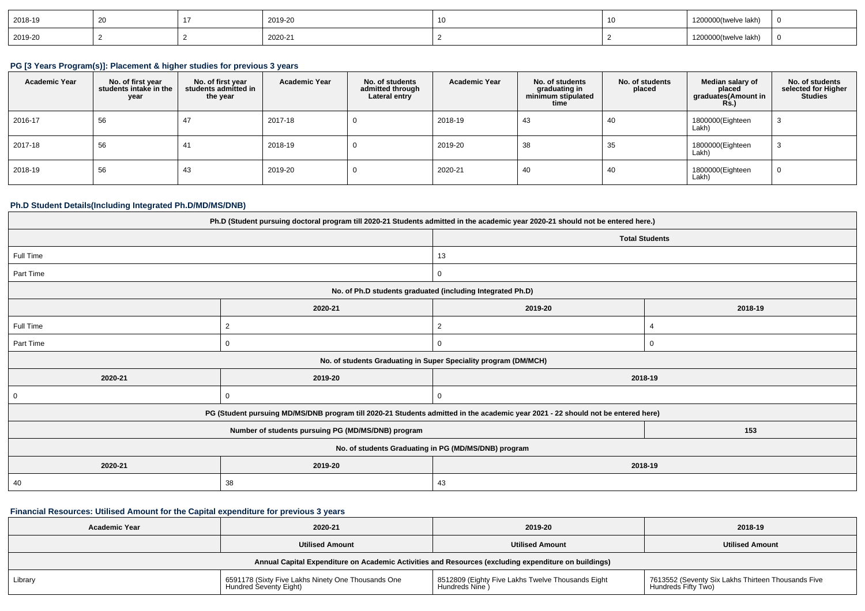| 2018-19 |  | 2019-20 |  | 200000(twelve lakh)<br>12000001                                                                                                                                                                                                                                   |  |
|---------|--|---------|--|-------------------------------------------------------------------------------------------------------------------------------------------------------------------------------------------------------------------------------------------------------------------|--|
| 2019-20 |  | 2020-21 |  | √lakh ت<br>1200000(twelve<br><u>in the contract of the contract of the contract of the contract of the contract of the contract of the contract of the contract of the contract of the contract of the contract of the contract of the contract of the contra</u> |  |

# **PG [3 Years Program(s)]: Placement & higher studies for previous 3 years**

| <b>Academic Year</b> | No. of first year<br>students intake in the<br>year | No. of first year<br>students admitted in<br>the year | <b>Academic Year</b> | No. of students<br>admitted through<br>Lateral entry | <b>Academic Year</b> | No. of students<br>graduating in<br>minimum stipulated<br>time | No. of students<br>placed | Median salary of<br>placed<br>graduates(Amount in<br><b>Rs.</b> ) | No. of students<br>selected for Higher<br><b>Studies</b> |
|----------------------|-----------------------------------------------------|-------------------------------------------------------|----------------------|------------------------------------------------------|----------------------|----------------------------------------------------------------|---------------------------|-------------------------------------------------------------------|----------------------------------------------------------|
| 2016-17              | 56                                                  | 47                                                    | 2017-18              |                                                      | 2018-19              | -43                                                            | -40                       | 1800000(Eighteen<br>Lakh)                                         | - 3                                                      |
| 2017-18              | 56                                                  | 41                                                    | 2018-19              |                                                      | 2019-20              | 38                                                             | 35                        | 1800000(Eighteen<br>Lakh)                                         | -3                                                       |
| 2018-19              | 56                                                  | 43                                                    | 2019-20              |                                                      | 2020-21              | 40                                                             | 40                        | 1800000(Eighteen<br>Lakh)                                         | $\mathbf 0$                                              |

#### **Ph.D Student Details(Including Integrated Ph.D/MD/MS/DNB)**

| Ph.D (Student pursuing doctoral program till 2020-21 Students admitted in the academic year 2020-21 should not be entered here.) |                                                                                                                                  |                                                                 |          |  |  |  |
|----------------------------------------------------------------------------------------------------------------------------------|----------------------------------------------------------------------------------------------------------------------------------|-----------------------------------------------------------------|----------|--|--|--|
|                                                                                                                                  |                                                                                                                                  | <b>Total Students</b>                                           |          |  |  |  |
| Full Time                                                                                                                        |                                                                                                                                  | 13                                                              |          |  |  |  |
| Part Time                                                                                                                        |                                                                                                                                  | 0                                                               |          |  |  |  |
|                                                                                                                                  |                                                                                                                                  | No. of Ph.D students graduated (including Integrated Ph.D)      |          |  |  |  |
|                                                                                                                                  | 2020-21                                                                                                                          | 2019-20                                                         | 2018-19  |  |  |  |
| Full Time                                                                                                                        | $\overline{2}$                                                                                                                   | 2                                                               |          |  |  |  |
| Part Time                                                                                                                        | $\Omega$                                                                                                                         | $\Omega$                                                        | $\Omega$ |  |  |  |
|                                                                                                                                  |                                                                                                                                  | No. of students Graduating in Super Speciality program (DM/MCH) |          |  |  |  |
| 2020-21                                                                                                                          | 2019-20                                                                                                                          | 2018-19                                                         |          |  |  |  |
| $\mathbf 0$                                                                                                                      | $\Omega$                                                                                                                         | $\Omega$                                                        |          |  |  |  |
|                                                                                                                                  | PG (Student pursuing MD/MS/DNB program till 2020-21 Students admitted in the academic year 2021 - 22 should not be entered here) |                                                                 |          |  |  |  |
|                                                                                                                                  | Number of students pursuing PG (MD/MS/DNB) program                                                                               |                                                                 | 153      |  |  |  |
| No. of students Graduating in PG (MD/MS/DNB) program                                                                             |                                                                                                                                  |                                                                 |          |  |  |  |
| 2020-21<br>2019-20<br>2018-19                                                                                                    |                                                                                                                                  |                                                                 |          |  |  |  |
| 40                                                                                                                               | 38                                                                                                                               | 43                                                              |          |  |  |  |

# **Financial Resources: Utilised Amount for the Capital expenditure for previous 3 years**

| <b>Academic Year</b>                                                                                 | 2020-21                                                                      |                                                                     | 2018-19                                                                   |  |  |  |  |
|------------------------------------------------------------------------------------------------------|------------------------------------------------------------------------------|---------------------------------------------------------------------|---------------------------------------------------------------------------|--|--|--|--|
| <b>Utilised Amount</b>                                                                               |                                                                              | <b>Utilised Amount</b>                                              | <b>Utilised Amount</b>                                                    |  |  |  |  |
| Annual Capital Expenditure on Academic Activities and Resources (excluding expenditure on buildings) |                                                                              |                                                                     |                                                                           |  |  |  |  |
| Library                                                                                              | 6591178 (Sixty Five Lakhs Ninety One Thousands One<br>Hundred Seventy Eight) | 8512809 (Eighty Five Lakhs Twelve Thousands Eight<br>Hundreds Nine) | 7613552 (Seventy Six Lakhs Thirteen Thousands Five<br>Hundreds Fifty Two) |  |  |  |  |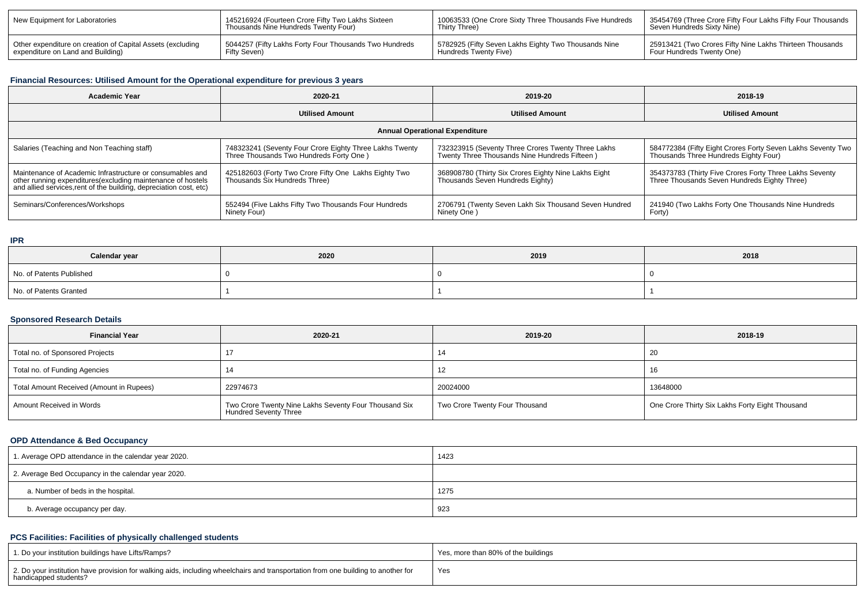| New Equipment for Laboratories                             | 145216924 (Fourteen Crore Fifty Two Lakhs Sixteen        | 1 10063533 (One Crore Sixty Three Thousands Five Hundreds | 35454769 (Three Crore Fifty Four Lakhs Fifty Four Thousands |
|------------------------------------------------------------|----------------------------------------------------------|-----------------------------------------------------------|-------------------------------------------------------------|
|                                                            | Thousands Nine Hundreds Twenty Four)                     | Thirty Three)                                             | Seven Hundreds Sixty Nine)                                  |
| Other expenditure on creation of Capital Assets (excluding | 1 5044257 (Fifty Lakhs Forty Four Thousands Two Hundreds | 5782925 (Fifty Seven Lakhs Eighty Two Thousands Nine      | 25913421 (Two Crores Fifty Nine Lakhs Thirteen Thousands    |
| expenditure on Land and Building)                          | Fifty Seven)                                             | Hundreds Twenty Five)                                     | Four Hundreds Twenty One)                                   |

# **Financial Resources: Utilised Amount for the Operational expenditure for previous 3 years**

| <b>Academic Year</b>                                                                                                                                                                           | 2020-21                                                                                            | 2019-20                                                                                             | 2018-19                                                                                                 |  |  |  |  |
|------------------------------------------------------------------------------------------------------------------------------------------------------------------------------------------------|----------------------------------------------------------------------------------------------------|-----------------------------------------------------------------------------------------------------|---------------------------------------------------------------------------------------------------------|--|--|--|--|
|                                                                                                                                                                                                | <b>Utilised Amount</b>                                                                             | <b>Utilised Amount</b>                                                                              | <b>Utilised Amount</b>                                                                                  |  |  |  |  |
| <b>Annual Operational Expenditure</b>                                                                                                                                                          |                                                                                                    |                                                                                                     |                                                                                                         |  |  |  |  |
| Salaries (Teaching and Non Teaching staff)                                                                                                                                                     | 748323241 (Seventy Four Crore Eighty Three Lakhs Twenty<br>Three Thousands Two Hundreds Forty One) | 732323915 (Seventy Three Crores Twenty Three Lakhs<br>Twenty Three Thousands Nine Hundreds Fifteen) | 584772384 (Fifty Eight Crores Forty Seven Lakhs Seventy Two<br>Thousands Three Hundreds Eighty Four)    |  |  |  |  |
| Maintenance of Academic Infrastructure or consumables and<br>other running expenditures(excluding maintenance of hostels<br>and allied services, rent of the building, depreciation cost, etc) | 425182603 (Forty Two Crore Fifty One Lakhs Eighty Two<br>Thousands Six Hundreds Three)             | 368908780 (Thirty Six Crores Eighty Nine Lakhs Eight<br>Thousands Seven Hundreds Eighty)            | 354373783 (Thirty Five Crores Forty Three Lakhs Seventy<br>Three Thousands Seven Hundreds Eighty Three) |  |  |  |  |
| Seminars/Conferences/Workshops                                                                                                                                                                 | 552494 (Five Lakhs Fifty Two Thousands Four Hundreds<br>Ninety Four)                               | 2706791 (Twenty Seven Lakh Six Thousand Seven Hundred<br>Ninety One)                                | 241940 (Two Lakhs Forty One Thousands Nine Hundreds<br>Forty)                                           |  |  |  |  |

#### **IPR**

| Calendar year            | 2020 | 2019 | 2018 |
|--------------------------|------|------|------|
| No. of Patents Published |      |      |      |
| No. of Patents Granted   |      |      |      |

#### **Sponsored Research Details**

| <b>Financial Year</b>                    | 2020-21                                                                        | 2019-20                        | 2018-19                                         |
|------------------------------------------|--------------------------------------------------------------------------------|--------------------------------|-------------------------------------------------|
| Total no. of Sponsored Projects          |                                                                                | 14                             | -20                                             |
| Total no. of Funding Agencies            |                                                                                | 12                             | 16                                              |
| Total Amount Received (Amount in Rupees) | 22974673                                                                       | 20024000                       | 13648000                                        |
| Amount Received in Words                 | Two Crore Twenty Nine Lakhs Seventy Four Thousand Six<br>Hundred Seventy Three | Two Crore Twenty Four Thousand | One Crore Thirty Six Lakhs Forty Eight Thousand |

### **OPD Attendance & Bed Occupancy**

| 1. Average OPD attendance in the calendar year 2020. | 1423 |
|------------------------------------------------------|------|
| 2. Average Bed Occupancy in the calendar year 2020.  |      |
| a. Number of beds in the hospital.                   | 1275 |
| b. Average occupancy per day.                        | 923  |

# **PCS Facilities: Facilities of physically challenged students**

| 1. Do your institution buildings have Lifts/Ramps?                                                                                                         | Yes, more than 80% of the buildings |
|------------------------------------------------------------------------------------------------------------------------------------------------------------|-------------------------------------|
| 2. Do your institution have provision for walking aids, including wheelchairs and transportation from one building to another for<br>handicapped students? | 'Yes                                |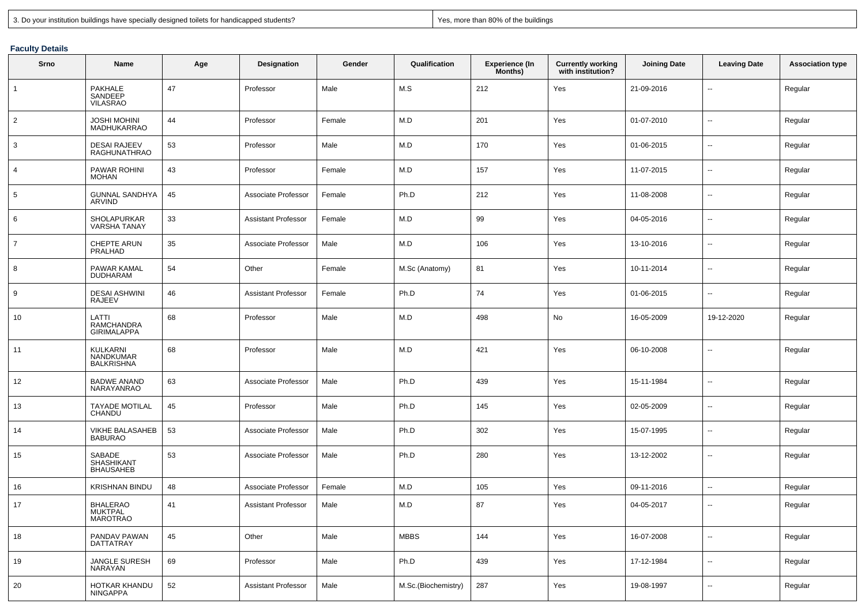|  |  |  |  | 3. Do your institution buildings have specially designed toilets for handicapped students? |  |
|--|--|--|--|--------------------------------------------------------------------------------------------|--|
|  |  |  |  |                                                                                            |  |

Yes, more than 80% of the buildings

### **Faculty Details**

| Srno            | Name                                            | Age    | <b>Designation</b>         | Gender | Qualification       | <b>Experience (In</b><br>Months) | <b>Currently working</b><br>with institution? | <b>Joining Date</b> | <b>Leaving Date</b>      | <b>Association type</b> |
|-----------------|-------------------------------------------------|--------|----------------------------|--------|---------------------|----------------------------------|-----------------------------------------------|---------------------|--------------------------|-------------------------|
| $\mathbf{1}$    | PAKHALE<br>SANDEEP<br><b>VILASRAO</b>           | 47     | Professor                  | Male   | M.S                 | 212                              | Yes                                           | 21-09-2016          | $\overline{\phantom{a}}$ | Regular                 |
| $\overline{2}$  | <b>JOSHI MOHINI</b><br>MADHUKARRAO              | 44     | Professor                  | Female | M.D                 | 201                              | Yes                                           | 01-07-2010          | $\overline{\phantom{a}}$ | Regular                 |
| 3               | <b>DESAI RAJEEV</b><br>RAGHUNATHRAO             | 53     | Professor                  | Male   | M.D                 | 170                              | Yes                                           | 01-06-2015          | $\overline{\phantom{a}}$ | Regular                 |
| $\overline{4}$  | <b>PAWAR ROHINI</b><br>MOHAN                    | 43     | Professor                  | Female | M.D                 | 157                              | Yes                                           | 11-07-2015          | $\overline{\phantom{a}}$ | Regular                 |
| $5\phantom{.0}$ | <b>GUNNAL SANDHYA</b><br>ARVIND                 | 45     | Associate Professor        | Female | Ph.D                | 212                              | Yes                                           | 11-08-2008          | $\overline{\phantom{a}}$ | Regular                 |
| 6               | SHOLAPURKAR<br><b>VARSHA TANAY</b>              | 33     | <b>Assistant Professor</b> | Female | M.D                 | 99                               | Yes                                           | 04-05-2016          | $\overline{\phantom{a}}$ | Regular                 |
| $\overline{7}$  | <b>CHEPTE ARUN</b><br>PRALHAD                   | 35     | Associate Professor        | Male   | M.D                 | 106                              | Yes                                           | 13-10-2016          | $\overline{\phantom{a}}$ | Regular                 |
| 8               | PAWAR KAMAL<br><b>DUDHARAM</b>                  | 54     | Other                      | Female | M.Sc (Anatomy)      | 81                               | Yes                                           | 10-11-2014          | $\overline{\phantom{a}}$ | Regular                 |
| 9               | <b>DESAI ASHWINI</b><br>RAJEEV                  | 46     | <b>Assistant Professor</b> | Female | Ph.D                | 74                               | Yes                                           | 01-06-2015          | $\overline{\phantom{a}}$ | Regular                 |
| 10              | LATTI<br>RAMCHANDRA<br><b>GIRIMALAPPA</b>       | 68     | Professor                  | Male   | M.D                 | 498                              | No                                            | 16-05-2009          | 19-12-2020               | Regular                 |
| 11              | KULKARNI<br>NANDKUMAR<br><b>BALKRISHNA</b>      | 68     | Professor                  | Male   | M.D                 | 421                              | Yes                                           | 06-10-2008          | $\overline{\phantom{a}}$ | Regular                 |
| 12              | <b>BADWE ANAND</b><br>NARAYANRAO                | 63     | Associate Professor        | Male   | Ph.D                | 439                              | Yes                                           | 15-11-1984          | $\overline{\phantom{a}}$ | Regular                 |
| 13              | <b>TAYADE MOTILAL</b><br>CHANDU                 | 45     | Professor                  | Male   | Ph.D                | 145                              | Yes                                           | 02-05-2009          | $\overline{\phantom{a}}$ | Regular                 |
| 14              | <b>VIKHE BALASAHEB</b><br><b>BABURAO</b>        | 53     | Associate Professor        | Male   | Ph.D                | 302                              | Yes                                           | 15-07-1995          | $\overline{\phantom{a}}$ | Regular                 |
| 15              | SABADE<br><b>SHASHIKANT</b><br><b>BHAUSAHEB</b> | 53     | Associate Professor        | Male   | Ph.D                | 280                              | Yes                                           | 13-12-2002          | $\overline{\phantom{a}}$ | Regular                 |
| 16              | <b>KRISHNAN BINDU</b>                           | 48     | Associate Professor        | Female | M.D                 | 105                              | Yes                                           | 09-11-2016          | $\overline{\phantom{a}}$ | Regular                 |
| 17              | <b>BHALERAO</b><br>MUKTPAL<br>MAROTRAO          | 41     | <b>Assistant Professor</b> | Male   | M.D                 | 87                               | Yes                                           | 04-05-2017          | $\overline{\phantom{a}}$ | Regular                 |
| 18              | PANDAV PAWAN<br>DATTATRAY                       | 45     | Other                      | Male   | <b>MBBS</b>         | 144                              | Yes                                           | 16-07-2008          | $\overline{\phantom{a}}$ | Regular                 |
| 19              | JANGLE SURESH<br>NARAYAN                        | 69     | Professor                  | Male   | Ph.D                | 439                              | Yes                                           | 17-12-1984          | $\overline{\phantom{a}}$ | Regular                 |
| 20              | HOTKAR KHANDU<br><b>NINGAPPA</b>                | $52\,$ | Assistant Professor        | Male   | M.Sc.(Biochemistry) | 287                              | Yes                                           | 19-08-1997          | $\overline{\phantom{a}}$ | Regular                 |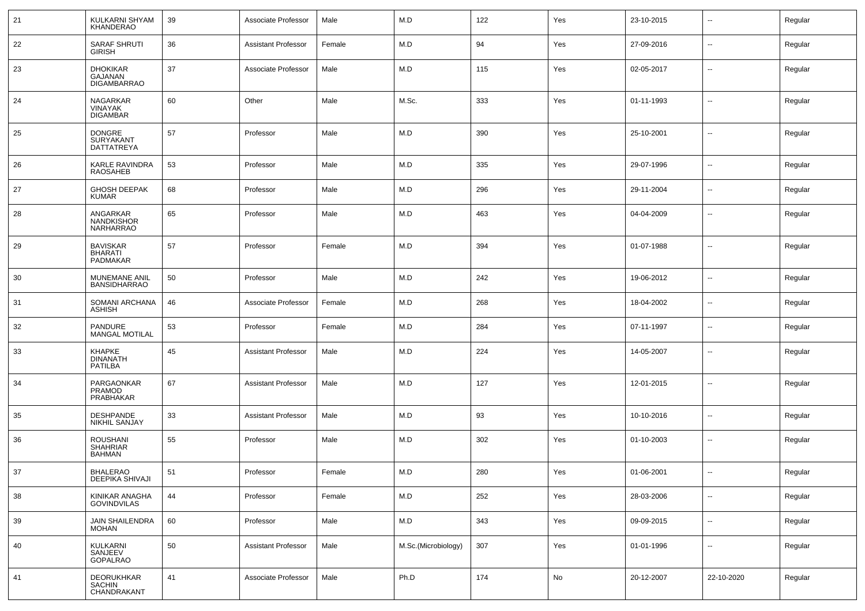| 21 | KULKARNI SHYAM<br>KHANDERAO                             | 39 | Associate Professor        | Male   | M.D                 | 122 | Yes | 23-10-2015 | $\overline{\phantom{a}}$ | Regular |
|----|---------------------------------------------------------|----|----------------------------|--------|---------------------|-----|-----|------------|--------------------------|---------|
| 22 | <b>SARAF SHRUTI</b><br><b>GIRISH</b>                    | 36 | <b>Assistant Professor</b> | Female | M.D                 | 94  | Yes | 27-09-2016 | $\overline{\phantom{a}}$ | Regular |
| 23 | <b>DHOKIKAR</b><br><b>GAJANAN</b><br><b>DIGAMBARRAO</b> | 37 | Associate Professor        | Male   | M.D                 | 115 | Yes | 02-05-2017 | $\overline{\phantom{a}}$ | Regular |
| 24 | <b>NAGARKAR</b><br><b>VINAYAK</b><br><b>DIGAMBAR</b>    | 60 | Other                      | Male   | M.Sc.               | 333 | Yes | 01-11-1993 | $\sim$                   | Regular |
| 25 | <b>DONGRE</b><br>SURYAKANT<br><b>DATTATREYA</b>         | 57 | Professor                  | Male   | M.D                 | 390 | Yes | 25-10-2001 | $\overline{\phantom{a}}$ | Regular |
| 26 | KARLE RAVINDRA<br><b>RAOSAHEB</b>                       | 53 | Professor                  | Male   | M.D                 | 335 | Yes | 29-07-1996 | $\overline{\phantom{a}}$ | Regular |
| 27 | <b>GHOSH DEEPAK</b><br><b>KUMAR</b>                     | 68 | Professor                  | Male   | M.D                 | 296 | Yes | 29-11-2004 | $\sim$                   | Regular |
| 28 | ANGARKAR<br>NANDKISHOR<br><b>NARHARRAO</b>              | 65 | Professor                  | Male   | M.D                 | 463 | Yes | 04-04-2009 | $\overline{\phantom{a}}$ | Regular |
| 29 | <b>BAVISKAR</b><br><b>BHARATI</b><br><b>PADMAKAR</b>    | 57 | Professor                  | Female | M.D                 | 394 | Yes | 01-07-1988 | $\overline{\phantom{a}}$ | Regular |
| 30 | MUNEMANE ANIL<br><b>BANSIDHARRAO</b>                    | 50 | Professor                  | Male   | M.D                 | 242 | Yes | 19-06-2012 | $\overline{\phantom{a}}$ | Regular |
| 31 | SOMANI ARCHANA<br><b>ASHISH</b>                         | 46 | Associate Professor        | Female | M.D                 | 268 | Yes | 18-04-2002 | $\overline{\phantom{a}}$ | Regular |
| 32 | <b>PANDURE</b><br><b>MANGAL MOTILAL</b>                 | 53 | Professor                  | Female | M.D                 | 284 | Yes | 07-11-1997 | $\overline{\phantom{a}}$ | Regular |
| 33 | KHAPKE<br><b>DINANATH</b><br>PATILBA                    | 45 | <b>Assistant Professor</b> | Male   | M.D                 | 224 | Yes | 14-05-2007 | $\overline{\phantom{a}}$ | Regular |
| 34 | PARGAONKAR<br><b>PRAMOD</b><br>PRABHAKAR                | 67 | <b>Assistant Professor</b> | Male   | M.D                 | 127 | Yes | 12-01-2015 | $\sim$                   | Regular |
| 35 | <b>DESHPANDE</b><br>NIKHIL SANJAY                       | 33 | <b>Assistant Professor</b> | Male   | M.D                 | 93  | Yes | 10-10-2016 | $\overline{\phantom{a}}$ | Regular |
| 36 | <b>ROUSHANI</b><br><b>SHAHRIAR</b><br><b>BAHMAN</b>     | 55 | Professor                  | Male   | M.D                 | 302 | Yes | 01-10-2003 | $\sim$                   | Regular |
| 37 | <b>BHALERAO</b><br>DEEPIKA SHIVAJI                      | 51 | Professor                  | Female | M.D                 | 280 | Yes | 01-06-2001 |                          | Regular |
| 38 | KINIKAR ANAGHA<br><b>GOVINDVILAS</b>                    | 44 | Professor                  | Female | M.D                 | 252 | Yes | 28-03-2006 | $\sim$                   | Regular |
| 39 | JAIN SHAILENDRA<br>MOHAN                                | 60 | Professor                  | Male   | M.D                 | 343 | Yes | 09-09-2015 | $\sim$                   | Regular |
| 40 | KULKARNI<br>SANJEEV<br>GOPALRAO                         | 50 | Assistant Professor        | Male   | M.Sc.(Microbiology) | 307 | Yes | 01-01-1996 | $\overline{\phantom{a}}$ | Regular |
| 41 | <b>DEORUKHKAR</b><br>SACHIN<br>CHANDRAKANT              | 41 | Associate Professor        | Male   | Ph.D                | 174 | No  | 20-12-2007 | 22-10-2020               | Regular |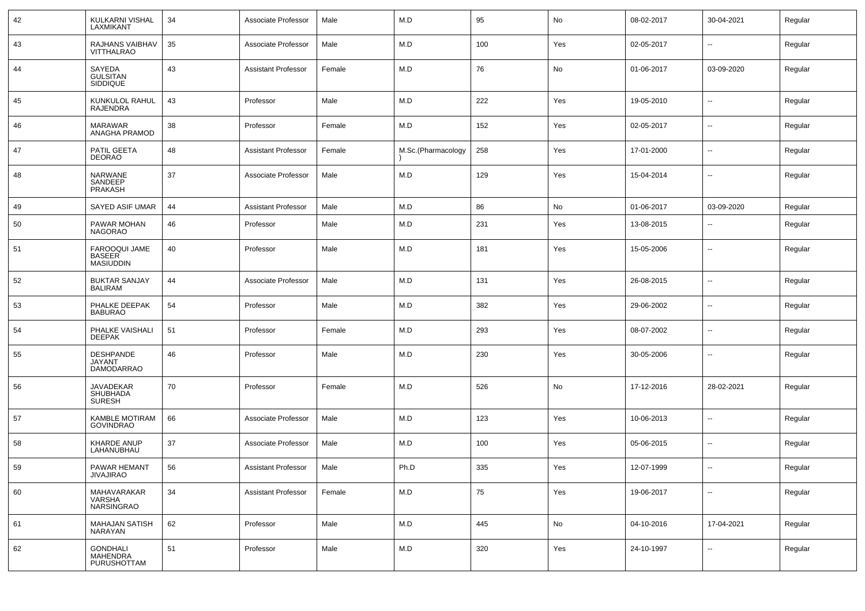| 42 | KULKARNI VISHAL<br>LAXMIKANT                           | 34 | Associate Professor        | Male   | M.D                | 95  | No  | 08-02-2017 | 30-04-2021               | Regular |
|----|--------------------------------------------------------|----|----------------------------|--------|--------------------|-----|-----|------------|--------------------------|---------|
| 43 | RAJHANS VAIBHAV<br>VITTHALRAO                          | 35 | Associate Professor        | Male   | M.D                | 100 | Yes | 02-05-2017 | $\overline{\phantom{a}}$ | Regular |
| 44 | SAYEDA<br>GULSITAN<br>SIDDIQUE                         | 43 | <b>Assistant Professor</b> | Female | M.D                | 76  | No  | 01-06-2017 | 03-09-2020               | Regular |
| 45 | KUNKULOL RAHUL<br><b>RAJENDRA</b>                      | 43 | Professor                  | Male   | M.D                | 222 | Yes | 19-05-2010 | $\mathbf{u}$             | Regular |
| 46 | <b>MARAWAR</b><br>ANAGHA PRAMOD                        | 38 | Professor                  | Female | M.D                | 152 | Yes | 02-05-2017 | $\mathbf{u}$             | Regular |
| 47 | PATIL GEETA<br><b>DEORAO</b>                           | 48 | Assistant Professor        | Female | M.Sc.(Pharmacology | 258 | Yes | 17-01-2000 | $\mathbf{u}$             | Regular |
| 48 | <b>NARWANE</b><br>SANDEEP<br><b>PRAKASH</b>            | 37 | Associate Professor        | Male   | M.D                | 129 | Yes | 15-04-2014 | $\mathbf{u}$             | Regular |
| 49 | SAYED ASIF UMAR                                        | 44 | <b>Assistant Professor</b> | Male   | M.D                | 86  | No  | 01-06-2017 | 03-09-2020               | Regular |
| 50 | PAWAR MOHAN<br><b>NAGORAO</b>                          | 46 | Professor                  | Male   | M.D                | 231 | Yes | 13-08-2015 | $\sim$                   | Regular |
| 51 | FAROOQUI JAME<br><b>BASEER</b><br><b>MASIUDDIN</b>     | 40 | Professor                  | Male   | M.D                | 181 | Yes | 15-05-2006 | --                       | Regular |
| 52 | <b>BUKTAR SANJAY</b><br><b>BALIRAM</b>                 | 44 | Associate Professor        | Male   | M.D                | 131 | Yes | 26-08-2015 | $\sim$                   | Regular |
| 53 | PHALKE DEEPAK<br><b>BABURAO</b>                        | 54 | Professor                  | Male   | M.D                | 382 | Yes | 29-06-2002 | $\mathbf{u}$             | Regular |
| 54 | PHALKE VAISHALI<br><b>DEEPAK</b>                       | 51 | Professor                  | Female | M.D                | 293 | Yes | 08-07-2002 | $\mathbf{u}$             | Regular |
| 55 | <b>DESHPANDE</b><br><b>JAYANT</b><br><b>DAMODARRAO</b> | 46 | Professor                  | Male   | M.D                | 230 | Yes | 30-05-2006 | $\mathbf{u}$             | Regular |
| 56 | <b>JAVADEKAR</b><br>SHUBHADA<br><b>SURESH</b>          | 70 | Professor                  | Female | M.D                | 526 | No  | 17-12-2016 | 28-02-2021               | Regular |
| 57 | <b>KAMBLE MOTIRAM</b><br><b>GOVINDRAO</b>              | 66 | Associate Professor        | Male   | M.D                | 123 | Yes | 10-06-2013 | --                       | Regular |
| 58 | <b>KHARDE ANUP</b><br>LAHANUBHAU                       | 37 | Associate Professor        | Male   | M.D                | 100 | Yes | 05-06-2015 | $-$                      | Regular |
| 59 | <b>PAWAR HEMANT</b><br>JIVAJIRAO                       | 56 | <b>Assistant Professor</b> | Male   | Ph.D               | 335 | Yes | 12-07-1999 | $\overline{\phantom{a}}$ | Regular |
| 60 | MAHAVARAKAR<br>VARSHA<br>NARSINGRAO                    | 34 | <b>Assistant Professor</b> | Female | M.D                | 75  | Yes | 19-06-2017 | $\mathbf{u}$             | Regular |
| 61 | MAHAJAN SATISH<br>NARAYAN                              | 62 | Professor                  | Male   | M.D                | 445 | No  | 04-10-2016 | 17-04-2021               | Regular |
| 62 | <b>GONDHALI</b><br><b>MAHENDRA</b><br>PURUSHOTTAM      | 51 | Professor                  | Male   | M.D                | 320 | Yes | 24-10-1997 | $\mathbf{u}$             | Regular |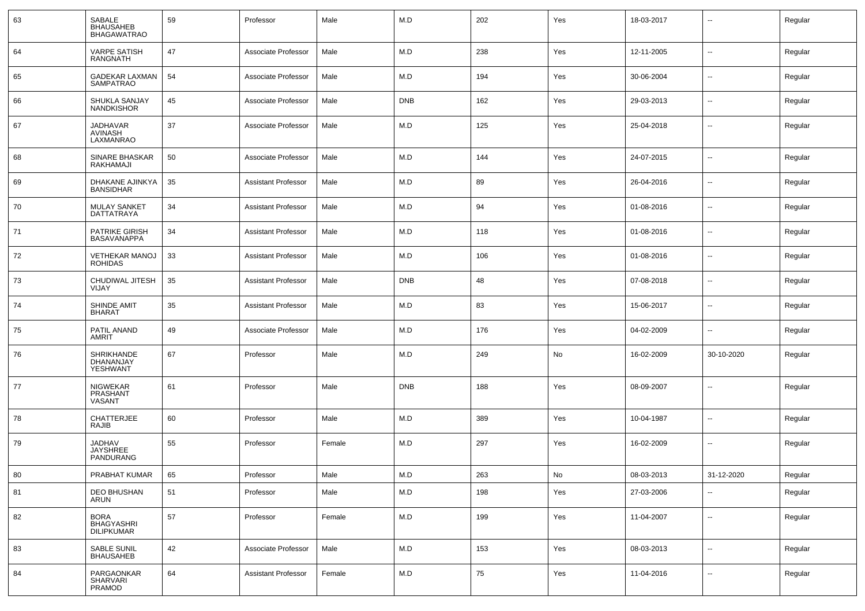| 63 | SABALE<br><b>BHAUSAHEB</b><br><b>BHAGAWATRAO</b>      | 59 | Professor                  | Male   | M.D        | 202 | Yes | 18-03-2017 | ۰.                       | Regular |
|----|-------------------------------------------------------|----|----------------------------|--------|------------|-----|-----|------------|--------------------------|---------|
| 64 | <b>VARPE SATISH</b><br>RANGNATH                       | 47 | Associate Professor        | Male   | M.D        | 238 | Yes | 12-11-2005 | Ξ.                       | Regular |
| 65 | <b>GADEKAR LAXMAN</b><br><b>SAMPATRAO</b>             | 54 | Associate Professor        | Male   | M.D        | 194 | Yes | 30-06-2004 | Ξ.                       | Regular |
| 66 | SHUKLA SANJAY<br><b>NANDKISHOR</b>                    | 45 | Associate Professor        | Male   | <b>DNB</b> | 162 | Yes | 29-03-2013 | Ξ.                       | Regular |
| 67 | <b>JADHAVAR</b><br><b>AVINASH</b><br><b>LAXMANRAO</b> | 37 | Associate Professor        | Male   | M.D        | 125 | Yes | 25-04-2018 | Ξ.                       | Regular |
| 68 | <b>SINARE BHASKAR</b><br>RAKHAMAJI                    | 50 | Associate Professor        | Male   | M.D        | 144 | Yes | 24-07-2015 | Ξ.                       | Regular |
| 69 | DHAKANE AJINKYA<br><b>BANSIDHAR</b>                   | 35 | <b>Assistant Professor</b> | Male   | M.D        | 89  | Yes | 26-04-2016 | --                       | Regular |
| 70 | <b>MULAY SANKET</b><br><b>DATTATRAYA</b>              | 34 | <b>Assistant Professor</b> | Male   | M.D        | 94  | Yes | 01-08-2016 | --                       | Regular |
| 71 | <b>PATRIKE GIRISH</b><br><b>BASAVANAPPA</b>           | 34 | <b>Assistant Professor</b> | Male   | M.D        | 118 | Yes | 01-08-2016 | --                       | Regular |
| 72 | <b>VETHEKAR MANOJ</b><br><b>ROHIDAS</b>               | 33 | <b>Assistant Professor</b> | Male   | M.D        | 106 | Yes | 01-08-2016 | Ξ.                       | Regular |
| 73 | CHUDIWAL JITESH<br>VIJAY                              | 35 | <b>Assistant Professor</b> | Male   | <b>DNB</b> | 48  | Yes | 07-08-2018 | --                       | Regular |
| 74 | SHINDE AMIT<br><b>BHARAT</b>                          | 35 | <b>Assistant Professor</b> | Male   | M.D        | 83  | Yes | 15-06-2017 | --                       | Regular |
| 75 | PATIL ANAND<br>AMRIT                                  | 49 | Associate Professor        | Male   | M.D        | 176 | Yes | 04-02-2009 | --                       | Regular |
| 76 | SHRIKHANDE<br>DHANANJAY<br>YESHWANT                   | 67 | Professor                  | Male   | M.D        | 249 | No  | 16-02-2009 | 30-10-2020               | Regular |
| 77 | <b>NIGWEKAR</b><br>PRASHANT<br>VASANT                 | 61 | Professor                  | Male   | <b>DNB</b> | 188 | Yes | 08-09-2007 | --                       | Regular |
| 78 | <b>CHATTERJEE</b><br>RAJIB                            | 60 | Professor                  | Male   | M.D        | 389 | Yes | 10-04-1987 | --                       | Regular |
| 79 | <b>JADHAV</b><br><b>JAYSHREE</b><br>PANDURANG         | 55 | Professor                  | Female | M.D        | 297 | Yes | 16-02-2009 | --                       | Regular |
| 80 | PRABHAT KUMAR                                         | 65 | Professor                  | Male   | M.D        | 263 | No  | 08-03-2013 | 31-12-2020               | Regular |
| 81 | DEO BHUSHAN<br>ARUN                                   | 51 | Professor                  | Male   | M.D        | 198 | Yes | 27-03-2006 | $\overline{\phantom{a}}$ | Regular |
| 82 | BORA<br>BHAGYASHRI<br><b>DILIPKUMAR</b>               | 57 | Professor                  | Female | M.D        | 199 | Yes | 11-04-2007 | $\ddot{\phantom{a}}$     | Regular |
| 83 | SABLE SUNIL<br>BHAUSAHEB                              | 42 | Associate Professor        | Male   | M.D        | 153 | Yes | 08-03-2013 | Ξ.                       | Regular |
| 84 | PARGAONKAR<br>SHARVARI<br>PRAMOD                      | 64 | <b>Assistant Professor</b> | Female | M.D        | 75  | Yes | 11-04-2016 | $\overline{\phantom{a}}$ | Regular |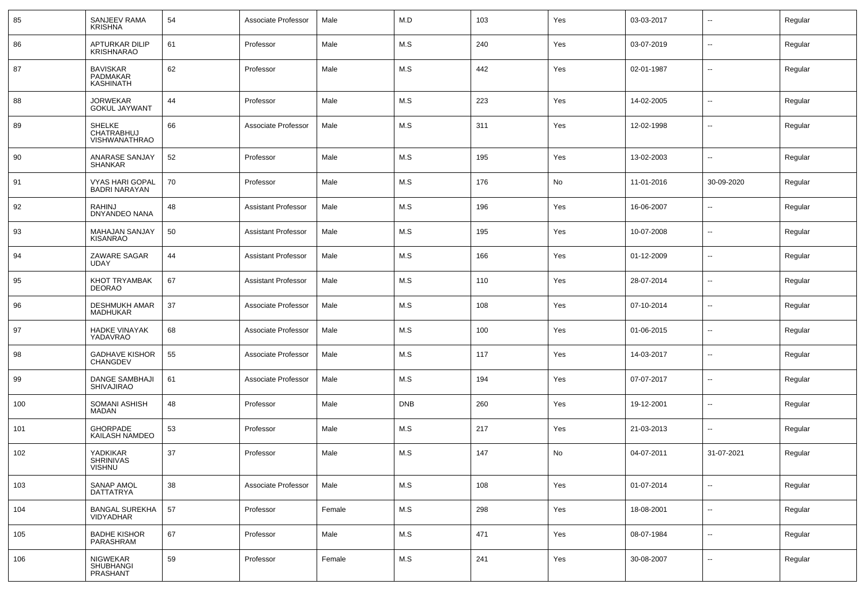| 85  | SANJEEV RAMA<br><b>KRISHNA</b>                      | 54 | Associate Professor        | Male   | M.D        | 103 | Yes | 03-03-2017 | --                       | Regular |
|-----|-----------------------------------------------------|----|----------------------------|--------|------------|-----|-----|------------|--------------------------|---------|
| 86  | APTURKAR DILIP<br>KRISHNARAO                        | 61 | Professor                  | Male   | M.S        | 240 | Yes | 03-07-2019 | $\sim$                   | Regular |
| 87  | <b>BAVISKAR</b><br>PADMAKAR<br><b>KASHINATH</b>     | 62 | Professor                  | Male   | M.S        | 442 | Yes | 02-01-1987 | $\sim$                   | Regular |
| 88  | <b>JORWEKAR</b><br><b>GOKUL JAYWANT</b>             | 44 | Professor                  | Male   | M.S        | 223 | Yes | 14-02-2005 | $\sim$                   | Regular |
| 89  | <b>SHELKE</b><br>CHATRABHUJ<br><b>VISHWANATHRAO</b> | 66 | Associate Professor        | Male   | M.S        | 311 | Yes | 12-02-1998 | --                       | Regular |
| 90  | ANARASE SANJAY<br><b>SHANKAR</b>                    | 52 | Professor                  | Male   | M.S        | 195 | Yes | 13-02-2003 | $\sim$                   | Regular |
| 91  | VYAS HARI GOPAL<br><b>BADRI NARAYAN</b>             | 70 | Professor                  | Male   | M.S        | 176 | No  | 11-01-2016 | 30-09-2020               | Regular |
| 92  | <b>RAHINJ</b><br><b>DNYANDEO NANA</b>               | 48 | <b>Assistant Professor</b> | Male   | M.S        | 196 | Yes | 16-06-2007 | $\overline{\phantom{a}}$ | Regular |
| 93  | MAHAJAN SANJAY<br><b>KISANRAO</b>                   | 50 | <b>Assistant Professor</b> | Male   | M.S        | 195 | Yes | 10-07-2008 | $\sim$                   | Regular |
| 94  | ZAWARE SAGAR<br><b>UDAY</b>                         | 44 | <b>Assistant Professor</b> | Male   | M.S        | 166 | Yes | 01-12-2009 | $\sim$                   | Regular |
| 95  | KHOT TRYAMBAK<br><b>DEORAO</b>                      | 67 | <b>Assistant Professor</b> | Male   | M.S        | 110 | Yes | 28-07-2014 | $\sim$                   | Regular |
| 96  | <b>DESHMUKH AMAR</b><br>MADHUKAR                    | 37 | Associate Professor        | Male   | M.S        | 108 | Yes | 07-10-2014 | $\sim$                   | Regular |
| 97  | <b>HADKE VINAYAK</b><br>YADAVRAO                    | 68 | Associate Professor        | Male   | M.S        | 100 | Yes | 01-06-2015 | $\sim$                   | Regular |
| 98  | <b>GADHAVE KISHOR</b><br><b>CHANGDEV</b>            | 55 | Associate Professor        | Male   | M.S        | 117 | Yes | 14-03-2017 | $\sim$                   | Regular |
| 99  | DANGE SAMBHAJI<br><b>SHIVAJIRAO</b>                 | 61 | Associate Professor        | Male   | M.S        | 194 | Yes | 07-07-2017 | $\sim$                   | Regular |
| 100 | SOMANI ASHISH<br>MADAN                              | 48 | Professor                  | Male   | <b>DNB</b> | 260 | Yes | 19-12-2001 | $\sim$                   | Regular |
| 101 | <b>GHORPADE</b><br>KAILASH NAMDEO                   | 53 | Professor                  | Male   | M.S        | 217 | Yes | 21-03-2013 | $\sim$                   | Regular |
| 102 | YADKIKAR<br>SHRINIVAS<br><b>VISHNU</b>              | 37 | Professor                  | Male   | M.S        | 147 | No  | 04-07-2011 | 31-07-2021               | Regular |
| 103 | SANAP AMOL<br><b>DATTATRYA</b>                      | 38 | Associate Professor        | Male   | M.S        | 108 | Yes | 01-07-2014 | $\sim$                   | Regular |
| 104 | <b>BANGAL SUREKHA</b><br>VIDYADHAR                  | 57 | Professor                  | Female | M.S        | 298 | Yes | 18-08-2001 | $\overline{\phantom{a}}$ | Regular |
| 105 | <b>BADHE KISHOR</b><br>PARASHRAM                    | 67 | Professor                  | Male   | M.S        | 471 | Yes | 08-07-1984 | u.                       | Regular |
| 106 | NIGWEKAR<br>SHUBHANGI<br>PRASHANT                   | 59 | Professor                  | Female | M.S        | 241 | Yes | 30-08-2007 | --                       | Regular |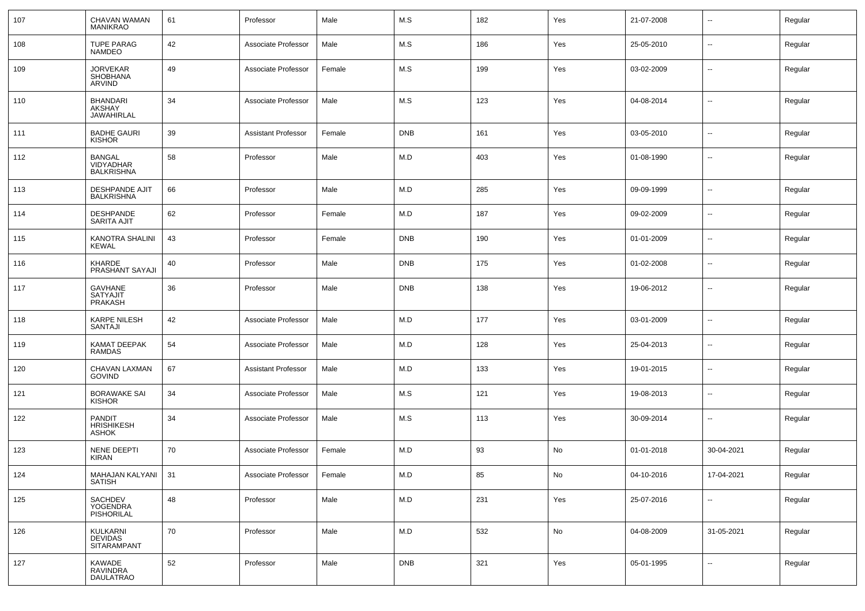| 107 | CHAVAN WAMAN<br><b>MANIKRAO</b>                     | 61 | Professor                  | Male   | M.S        | 182 | Yes | 21-07-2008 | $\overline{\phantom{a}}$ | Regular |
|-----|-----------------------------------------------------|----|----------------------------|--------|------------|-----|-----|------------|--------------------------|---------|
| 108 | <b>TUPE PARAG</b><br><b>NAMDEO</b>                  | 42 | Associate Professor        | Male   | M.S        | 186 | Yes | 25-05-2010 | $\sim$                   | Regular |
| 109 | <b>JORVEKAR</b><br><b>SHOBHANA</b><br>ARVIND        | 49 | Associate Professor        | Female | M.S        | 199 | Yes | 03-02-2009 | $\sim$                   | Regular |
| 110 | <b>BHANDARI</b><br>AKSHAY<br><b>JAWAHIRLAL</b>      | 34 | Associate Professor        | Male   | M.S        | 123 | Yes | 04-08-2014 | $\overline{\phantom{a}}$ | Regular |
| 111 | <b>BADHE GAURI</b><br>KISHOR                        | 39 | <b>Assistant Professor</b> | Female | <b>DNB</b> | 161 | Yes | 03-05-2010 | $\mathbf{u}$             | Regular |
| 112 | <b>BANGAL</b><br>VIDYADHAR<br><b>BALKRISHNA</b>     | 58 | Professor                  | Male   | M.D        | 403 | Yes | 01-08-1990 | $\overline{\phantom{a}}$ | Regular |
| 113 | DESHPANDE AJIT<br><b>BALKRISHNA</b>                 | 66 | Professor                  | Male   | M.D        | 285 | Yes | 09-09-1999 | $\overline{\phantom{a}}$ | Regular |
| 114 | <b>DESHPANDE</b><br><b>SARITA AJIT</b>              | 62 | Professor                  | Female | M.D        | 187 | Yes | 09-02-2009 | --                       | Regular |
| 115 | KANOTRA SHALINI<br><b>KEWAL</b>                     | 43 | Professor                  | Female | <b>DNB</b> | 190 | Yes | 01-01-2009 | $\overline{\phantom{a}}$ | Regular |
| 116 | KHARDE<br>PRASHANT SAYAJI                           | 40 | Professor                  | Male   | <b>DNB</b> | 175 | Yes | 01-02-2008 | $\overline{\phantom{a}}$ | Regular |
| 117 | <b>GAVHANE</b><br><b>SATYAJIT</b><br><b>PRAKASH</b> | 36 | Professor                  | Male   | <b>DNB</b> | 138 | Yes | 19-06-2012 | --                       | Regular |
| 118 | <b>KARPE NILESH</b><br>SANTAJI                      | 42 | Associate Professor        | Male   | M.D        | 177 | Yes | 03-01-2009 | $\overline{\phantom{a}}$ | Regular |
| 119 | KAMAT DEEPAK<br><b>RAMDAS</b>                       | 54 | Associate Professor        | Male   | M.D        | 128 | Yes | 25-04-2013 | --                       | Regular |
| 120 | CHAVAN LAXMAN<br><b>GOVIND</b>                      | 67 | Assistant Professor        | Male   | M.D        | 133 | Yes | 19-01-2015 | --                       | Regular |
| 121 | <b>BORAWAKE SAI</b><br>KISHOR                       | 34 | Associate Professor        | Male   | M.S        | 121 | Yes | 19-08-2013 | $\overline{\phantom{a}}$ | Regular |
| 122 | <b>PANDIT</b><br><b>HRISHIKESH</b><br><b>ASHOK</b>  | 34 | Associate Professor        | Male   | M.S        | 113 | Yes | 30-09-2014 | --                       | Regular |
| 123 | NENE DEEPTI<br><b>KIRAN</b>                         | 70 | Associate Professor        | Female | M.D        | 93  | No  | 01-01-2018 | 30-04-2021               | Regular |
| 124 | MAHAJAN KALYANI   31<br><b>SATISH</b>               |    | Associate Professor        | Female | M.D        | 85  | No  | 04-10-2016 | 17-04-2021               | Regular |
| 125 | SACHDEV<br>YOGENDRA<br>PISHORILAL                   | 48 | Professor                  | Male   | M.D        | 231 | Yes | 25-07-2016 | $\sim$                   | Regular |
| 126 | KULKARNI<br>DEVIDAS<br>SITARAMPANT                  | 70 | Professor                  | Male   | M.D        | 532 | No  | 04-08-2009 | 31-05-2021               | Regular |
| 127 | KAWADE<br>RAVINDRA<br><b>DAULATRAO</b>              | 52 | Professor                  | Male   | <b>DNB</b> | 321 | Yes | 05-01-1995 | $\sim$                   | Regular |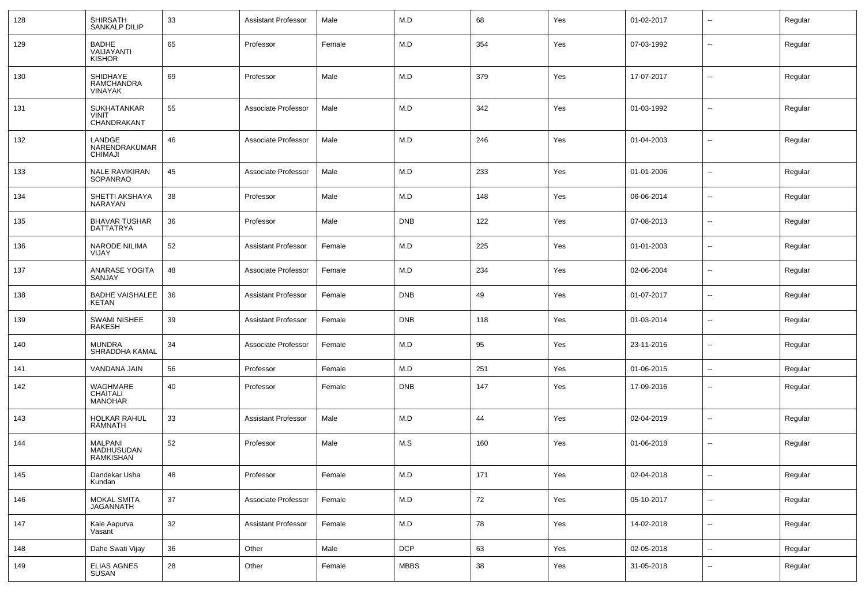| 128 | SHIRSATH<br>SANKALP DILIP                               | 33 | <b>Assistant Professor</b> | Male   | M.D         | 68  | Yes | 01-02-2017 | --                       | Regular |
|-----|---------------------------------------------------------|----|----------------------------|--------|-------------|-----|-----|------------|--------------------------|---------|
| 129 | <b>BADHE</b><br>VAIJAYANTI<br><b>KISHOR</b>             | 65 | Professor                  | Female | M.D         | 354 | Yes | 07-03-1992 | н.                       | Regular |
| 130 | SHIDHAYE<br>RAMCHANDRA<br><b>VINAYAK</b>                | 69 | Professor                  | Male   | M.D         | 379 | Yes | 17-07-2017 | $\overline{\phantom{a}}$ | Regular |
| 131 | <b>SUKHATANKAR</b><br><b>VINIT</b><br>CHANDRAKANT       | 55 | Associate Professor        | Male   | M.D         | 342 | Yes | 01-03-1992 | ⊷.                       | Regular |
| 132 | LANDGE<br>NARENDRAKUMAR<br><b>CHIMAJI</b>               | 46 | Associate Professor        | Male   | M.D         | 246 | Yes | 01-04-2003 | --                       | Regular |
| 133 | <b>NALE RAVIKIRAN</b><br>SOPANRAO                       | 45 | Associate Professor        | Male   | M.D         | 233 | Yes | 01-01-2006 | --                       | Regular |
| 134 | SHETTI AKSHAYA<br>NARAYAN                               | 38 | Professor                  | Male   | M.D         | 148 | Yes | 06-06-2014 | $\overline{\phantom{a}}$ | Regular |
| 135 | <b>BHAVAR TUSHAR</b><br><b>DATTATRYA</b>                | 36 | Professor                  | Male   | <b>DNB</b>  | 122 | Yes | 07-08-2013 | --                       | Regular |
| 136 | NARODE NILIMA<br>VIJAY                                  | 52 | <b>Assistant Professor</b> | Female | M.D         | 225 | Yes | 01-01-2003 | --                       | Regular |
| 137 | ANARASE YOGITA<br>SANJAY                                | 48 | Associate Professor        | Female | M.D         | 234 | Yes | 02-06-2004 | $\overline{\phantom{a}}$ | Regular |
| 138 | <b>BADHE VAISHALEE</b><br>KETAN                         | 36 | <b>Assistant Professor</b> | Female | <b>DNB</b>  | 49  | Yes | 01-07-2017 | --                       | Regular |
| 139 | <b>SWAMI NISHEE</b><br>RAKESH                           | 39 | <b>Assistant Professor</b> | Female | <b>DNB</b>  | 118 | Yes | 01-03-2014 | --                       | Regular |
| 140 | <b>MUNDRA</b><br>SHRADDHA KAMAL                         | 34 | Associate Professor        | Female | M.D         | 95  | Yes | 23-11-2016 | $\overline{a}$           | Regular |
| 141 | VANDANA JAIN                                            | 56 | Professor                  | Female | M.D         | 251 | Yes | 01-06-2015 | $\overline{\phantom{a}}$ | Regular |
| 142 | WAGHMARE<br><b>CHAITALI</b><br><b>MANOHAR</b>           | 40 | Professor                  | Female | <b>DNB</b>  | 147 | Yes | 17-09-2016 | --                       | Regular |
| 143 | <b>HOLKAR RAHUL</b><br><b>RAMNATH</b>                   | 33 | <b>Assistant Professor</b> | Male   | M.D         | 44  | Yes | 02-04-2019 | $\overline{\phantom{a}}$ | Regular |
| 144 | <b>MALPANI</b><br><b>MADHUSUDAN</b><br><b>RAMKISHAN</b> | 52 | Professor                  | Male   | M.S         | 160 | Yes | 01-06-2018 | --                       | Regular |
| 145 | Dandekar Usha<br>Kundan                                 | 48 | Professor                  | Female | M.D         | 171 | Yes | 02-04-2018 | $\sim$                   | Regular |
| 146 | MOKAL SMITA<br><b>JAGANNATH</b>                         | 37 | Associate Professor        | Female | M.D         | 72  | Yes | 05-10-2017 | $\sim$                   | Regular |
| 147 | Kale Aapurva<br>Vasant                                  | 32 | <b>Assistant Professor</b> | Female | M.D         | 78  | Yes | 14-02-2018 | $\sim$                   | Regular |
| 148 | Dahe Swati Vijay                                        | 36 | Other                      | Male   | <b>DCP</b>  | 63  | Yes | 02-05-2018 | $\overline{\phantom{a}}$ | Regular |
| 149 | ELIAS AGNES<br>SUSAN                                    | 28 | Other                      | Female | <b>MBBS</b> | 38  | Yes | 31-05-2018 | н.                       | Regular |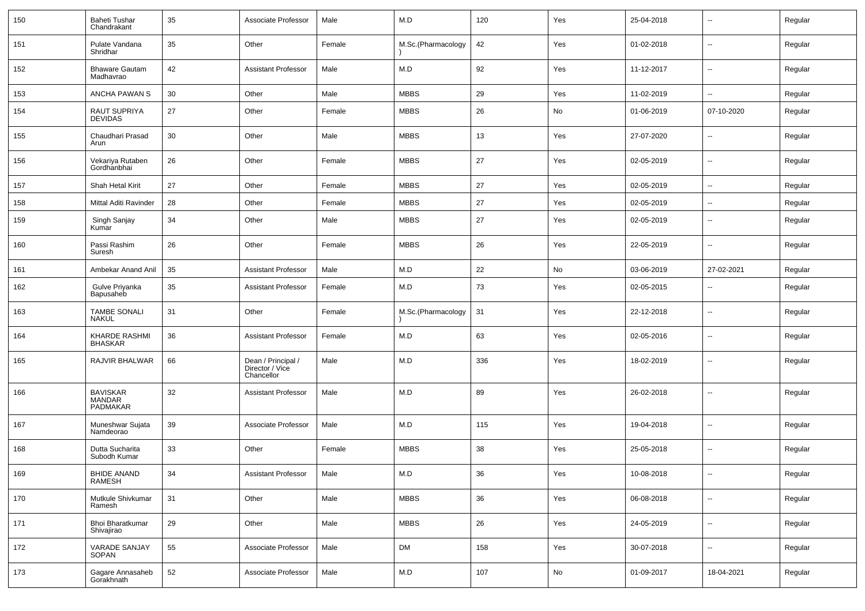| 150 | Baheti Tushar<br>Chandrakant          | 35 | Associate Professor                                 | Male   | M.D                | 120 | Yes | 25-04-2018 |                          | Regular |
|-----|---------------------------------------|----|-----------------------------------------------------|--------|--------------------|-----|-----|------------|--------------------------|---------|
| 151 | Pulate Vandana<br>Shridhar            | 35 | Other                                               | Female | M.Sc.(Pharmacology | 42  | Yes | 01-02-2018 | ⊷.                       | Regular |
| 152 | <b>Bhaware Gautam</b><br>Madhavrao    | 42 | <b>Assistant Professor</b>                          | Male   | M.D                | 92  | Yes | 11-12-2017 | ⊷.                       | Regular |
| 153 | ANCHA PAWAN S                         | 30 | Other                                               | Male   | <b>MBBS</b>        | 29  | Yes | 11-02-2019 | ⊷.                       | Regular |
| 154 | RAUT SUPRIYA<br><b>DEVIDAS</b>        | 27 | Other                                               | Female | <b>MBBS</b>        | 26  | No  | 01-06-2019 | 07-10-2020               | Regular |
| 155 | Chaudhari Prasad<br>Arun              | 30 | Other                                               | Male   | <b>MBBS</b>        | 13  | Yes | 27-07-2020 | $\overline{\phantom{a}}$ | Regular |
| 156 | Vekariya Rutaben<br>Gordhanbhai       | 26 | Other                                               | Female | <b>MBBS</b>        | 27  | Yes | 02-05-2019 | $\overline{\phantom{a}}$ | Regular |
| 157 | Shah Hetal Kirit                      | 27 | Other                                               | Female | <b>MBBS</b>        | 27  | Yes | 02-05-2019 | --                       | Regular |
| 158 | Mittal Aditi Ravinder                 | 28 | Other                                               | Female | <b>MBBS</b>        | 27  | Yes | 02-05-2019 | $\overline{\phantom{a}}$ | Regular |
| 159 | Singh Sanjay<br>Kumar                 | 34 | Other                                               | Male   | <b>MBBS</b>        | 27  | Yes | 02-05-2019 | -−                       | Regular |
| 160 | Passi Rashim<br>Suresh                | 26 | Other                                               | Female | <b>MBBS</b>        | 26  | Yes | 22-05-2019 | --                       | Regular |
| 161 | Ambekar Anand Anil                    | 35 | <b>Assistant Professor</b>                          | Male   | M.D                | 22  | No  | 03-06-2019 | 27-02-2021               | Regular |
| 162 | Gulve Priyanka<br>Bapusaheb           | 35 | <b>Assistant Professor</b>                          | Female | M.D                | 73  | Yes | 02-05-2015 | $\overline{a}$           | Regular |
| 163 | <b>TAMBE SONALI</b><br><b>NAKUL</b>   | 31 | Other                                               | Female | M.Sc.(Pharmacology | 31  | Yes | 22-12-2018 | $\overline{\phantom{a}}$ | Regular |
| 164 | KHARDE RASHMI<br><b>BHASKAR</b>       | 36 | <b>Assistant Professor</b>                          | Female | M.D                | 63  | Yes | 02-05-2016 | $\overline{a}$           | Regular |
| 165 | RAJVIR BHALWAR                        | 66 | Dean / Principal /<br>Director / Vice<br>Chancellor | Male   | M.D                | 336 | Yes | 18-02-2019 | $\overline{\phantom{a}}$ | Regular |
| 166 | <b>BAVISKAR</b><br>MANDAR<br>PADMAKAR | 32 | <b>Assistant Professor</b>                          | Male   | M.D                | 89  | Yes | 26-02-2018 | --                       | Regular |
| 167 | Muneshwar Sujata<br>Namdeorao         | 39 | Associate Professor                                 | Male   | M.D                | 115 | Yes | 19-04-2018 | ⊷.                       | Regular |
| 168 | Dutta Sucharita<br>Subodh Kumar       | 33 | Other                                               | Female | <b>MBBS</b>        | 38  | Yes | 25-05-2018 | $\overline{\phantom{a}}$ | Regular |
| 169 | BHIDE ANAND<br><b>RAMESH</b>          | 34 | Assistant Professor                                 | Male   | M.D                | 36  | Yes | 10-08-2018 | --                       | Regular |
| 170 | Mutkule Shivkumar<br>Ramesh           | 31 | Other                                               | Male   | <b>MBBS</b>        | 36  | Yes | 06-08-2018 | $\sim$                   | Regular |
| 171 | Bhoi Bharatkumar<br>Shivajirao        | 29 | Other                                               | Male   | <b>MBBS</b>        | 26  | Yes | 24-05-2019 | $\sim$                   | Regular |
| 172 | <b>VARADE SANJAY</b><br>SOPAN         | 55 | Associate Professor                                 | Male   | <b>DM</b>          | 158 | Yes | 30-07-2018 | $\sim$                   | Regular |
| 173 | Gagare Annasaheb<br>Gorakhnath        | 52 | Associate Professor                                 | Male   | M.D                | 107 | No  | 01-09-2017 | 18-04-2021               | Regular |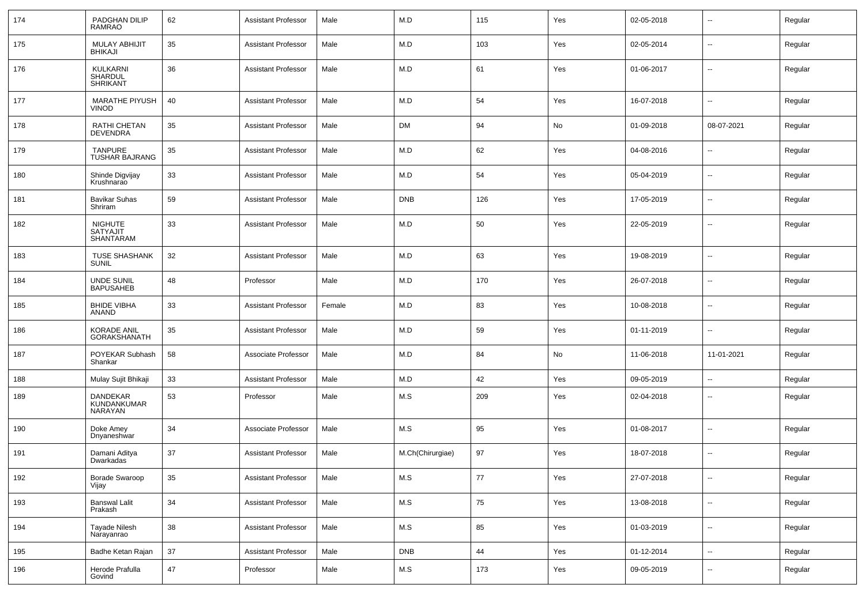| 174 | PADGHAN DILIP<br><b>RAMRAO</b>                 | 62     | <b>Assistant Professor</b> | Male   | M.D              | 115 | Yes | 02-05-2018 | $\overline{\phantom{a}}$ | Regular |
|-----|------------------------------------------------|--------|----------------------------|--------|------------------|-----|-----|------------|--------------------------|---------|
| 175 | <b>MULAY ABHIJIT</b><br><b>BHIKAJI</b>         | 35     | <b>Assistant Professor</b> | Male   | M.D              | 103 | Yes | 02-05-2014 | $\sim$                   | Regular |
| 176 | KULKARNI<br>SHARDUL<br>SHRIKANT                | 36     | <b>Assistant Professor</b> | Male   | M.D              | 61  | Yes | 01-06-2017 | $\sim$                   | Regular |
| 177 | <b>MARATHE PIYUSH</b><br><b>VINOD</b>          | 40     | <b>Assistant Professor</b> | Male   | M.D              | 54  | Yes | 16-07-2018 | $\sim$                   | Regular |
| 178 | <b>RATHI CHETAN</b><br><b>DEVENDRA</b>         | 35     | <b>Assistant Professor</b> | Male   | <b>DM</b>        | 94  | No  | 01-09-2018 | 08-07-2021               | Regular |
| 179 | <b>TANPURE</b><br><b>TUSHAR BAJRANG</b>        | 35     | <b>Assistant Professor</b> | Male   | M.D              | 62  | Yes | 04-08-2016 | $\sim$                   | Regular |
| 180 | Shinde Digvijay<br>Krushnarao                  | 33     | <b>Assistant Professor</b> | Male   | M.D              | 54  | Yes | 05-04-2019 | $\overline{\phantom{a}}$ | Regular |
| 181 | <b>Bavikar Suhas</b><br>Shriram                | 59     | <b>Assistant Professor</b> | Male   | <b>DNB</b>       | 126 | Yes | 17-05-2019 | $\mathbf{u}$             | Regular |
| 182 | <b>NIGHUTE</b><br><b>SATYAJIT</b><br>SHANTARAM | 33     | <b>Assistant Professor</b> | Male   | M.D              | 50  | Yes | 22-05-2019 | $\overline{\phantom{a}}$ | Regular |
| 183 | <b>TUSE SHASHANK</b><br><b>SUNIL</b>           | 32     | <b>Assistant Professor</b> | Male   | M.D              | 63  | Yes | 19-08-2019 | $\overline{\phantom{a}}$ | Regular |
| 184 | <b>UNDE SUNIL</b><br><b>BAPUSAHEB</b>          | 48     | Professor                  | Male   | M.D              | 170 | Yes | 26-07-2018 | $\mathbf{u}$             | Regular |
| 185 | <b>BHIDE VIBHA</b><br><b>ANAND</b>             | 33     | <b>Assistant Professor</b> | Female | M.D              | 83  | Yes | 10-08-2018 | $\overline{\phantom{a}}$ | Regular |
| 186 | <b>KORADE ANIL</b><br><b>GORAKSHANATH</b>      | 35     | <b>Assistant Professor</b> | Male   | M.D              | 59  | Yes | 01-11-2019 | $\mathbf{u}$             | Regular |
| 187 | POYEKAR Subhash<br>Shankar                     | 58     | Associate Professor        | Male   | M.D              | 84  | No  | 11-06-2018 | 11-01-2021               | Regular |
| 188 | Mulay Sujit Bhikaji                            | 33     | <b>Assistant Professor</b> | Male   | M.D              | 42  | Yes | 09-05-2019 | --                       | Regular |
| 189 | DANDEKAR<br>KUNDANKUMAR<br>NARAYAN             | 53     | Professor                  | Male   | M.S              | 209 | Yes | 02-04-2018 | $\mathbf{u}$             | Regular |
| 190 | Doke Amey<br>Dnyaneshwar                       | 34     | Associate Professor        | Male   | M.S              | 95  | Yes | 01-08-2017 | $\sim$                   | Regular |
| 191 | Damani Aditya<br>Dwarkadas                     | 37     | <b>Assistant Professor</b> | Male   | M.Ch(Chirurgiae) | 97  | Yes | 18-07-2018 | $\mathbf{u}$             | Regular |
| 192 | Borade Swaroop<br>Vijay                        | 35     | <b>Assistant Professor</b> | Male   | $M.S$            | 77  | Yes | 27-07-2018 | $\overline{\phantom{a}}$ | Regular |
| 193 | <b>Banswal Lalit</b><br>Prakash                | $34\,$ | <b>Assistant Professor</b> | Male   | $M.S$            | 75  | Yes | 13-08-2018 | ÷.                       | Regular |
| 194 | Tayade Nilesh<br>Narayanrao                    | 38     | <b>Assistant Professor</b> | Male   | M.S              | 85  | Yes | 01-03-2019 | $\sim$                   | Regular |
| 195 | Badhe Ketan Rajan                              | $37\,$ | <b>Assistant Professor</b> | Male   | <b>DNB</b>       | 44  | Yes | 01-12-2014 | ÷.                       | Regular |
| 196 | Herode Prafulla<br>Govind                      | 47     | Professor                  | Male   | M.S              | 173 | Yes | 09-05-2019 | $\sim$                   | Regular |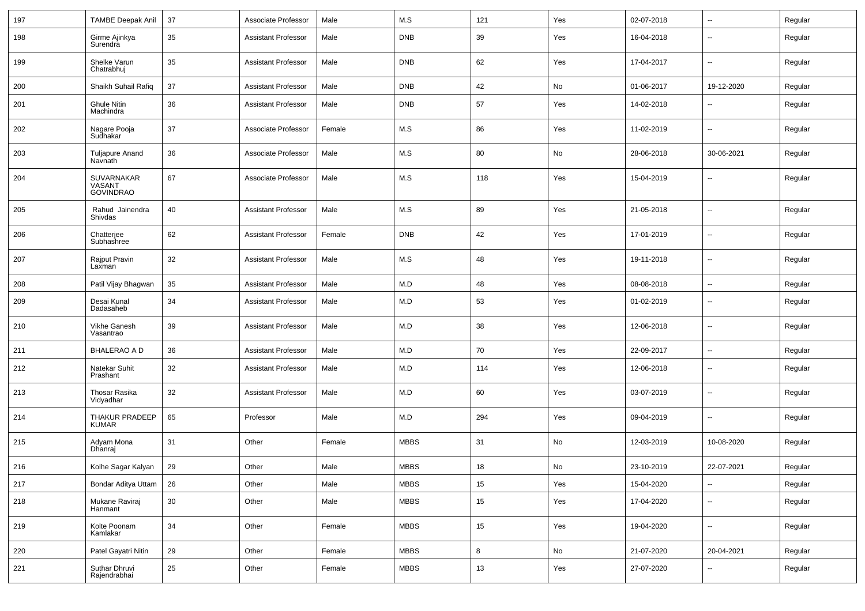| 197 | <b>TAMBE Deepak Anil</b>                 | 37     | Associate Professor        | Male   | M.S         | 121  | Yes | 02-07-2018 | $\sim$                   | Regular |
|-----|------------------------------------------|--------|----------------------------|--------|-------------|------|-----|------------|--------------------------|---------|
| 198 | Girme Ajinkya<br>Surendra                | 35     | <b>Assistant Professor</b> | Male   | <b>DNB</b>  | 39   | Yes | 16-04-2018 | $\mathbf{u}$             | Regular |
| 199 | Shelke Varun<br>Chatrabhuj               | 35     | Assistant Professor        | Male   | <b>DNB</b>  | 62   | Yes | 17-04-2017 | --                       | Regular |
| 200 | Shaikh Suhail Rafiq                      | 37     | <b>Assistant Professor</b> | Male   | <b>DNB</b>  | 42   | No  | 01-06-2017 | 19-12-2020               | Regular |
| 201 | <b>Ghule Nitin</b><br>Machindra          | 36     | <b>Assistant Professor</b> | Male   | <b>DNB</b>  | 57   | Yes | 14-02-2018 | $\overline{\phantom{a}}$ | Regular |
| 202 | Nagare Pooja<br>Sudhakar                 | 37     | Associate Professor        | Female | M.S         | 86   | Yes | 11-02-2019 | $\overline{\phantom{a}}$ | Regular |
| 203 | <b>Tuljapure Anand</b><br>Navnath        | 36     | Associate Professor        | Male   | M.S         | 80   | No  | 28-06-2018 | 30-06-2021               | Regular |
| 204 | SUVARNAKAR<br>VASANT<br><b>GOVINDRAO</b> | 67     | Associate Professor        | Male   | M.S         | 118  | Yes | 15-04-2019 | $\overline{\phantom{a}}$ | Regular |
| 205 | Rahud Jainendra<br>Shivdas               | 40     | <b>Assistant Professor</b> | Male   | M.S         | 89   | Yes | 21-05-2018 | $\mathbf{u}$             | Regular |
| 206 | Chatterjee<br>Subhashree                 | 62     | Assistant Professor        | Female | <b>DNB</b>  | 42   | Yes | 17-01-2019 | $\overline{\phantom{a}}$ | Regular |
| 207 | Rajput Pravin<br>Laxman                  | 32     | <b>Assistant Professor</b> | Male   | M.S         | 48   | Yes | 19-11-2018 | $\mathbf{u}$             | Regular |
| 208 | Patil Vijay Bhagwan                      | 35     | Assistant Professor        | Male   | M.D         | 48   | Yes | 08-08-2018 | $\mathbf{u}$             | Regular |
| 209 | Desai Kunal<br>Dadasaheb                 | 34     | <b>Assistant Professor</b> | Male   | M.D         | 53   | Yes | 01-02-2019 | $\overline{\phantom{a}}$ | Regular |
| 210 | Vikhe Ganesh<br>Vasantrao                | 39     | Assistant Professor        | Male   | M.D         | 38   | Yes | 12-06-2018 | $\mathbf{u}$             | Regular |
| 211 | <b>BHALERAO A D</b>                      | 36     | <b>Assistant Professor</b> | Male   | M.D         | 70   | Yes | 22-09-2017 | $\overline{\phantom{a}}$ | Regular |
| 212 | Natekar Suhit<br>Prashant                | 32     | <b>Assistant Professor</b> | Male   | M.D         | 114  | Yes | 12-06-2018 | $\mathbf{u}$             | Regular |
| 213 | Thosar Rasika<br>Vidyadhar               | 32     | <b>Assistant Professor</b> | Male   | M.D         | 60   | Yes | 03-07-2019 | $\overline{\phantom{a}}$ | Regular |
| 214 | THAKUR PRADEEP<br><b>KUMAR</b>           | 65     | Professor                  | Male   | M.D         | 294  | Yes | 09-04-2019 | $\mathbf{u}$             | Regular |
| 215 | Adyam Mona<br>Dhanraj                    | 31     | Other                      | Female | <b>MBBS</b> | 31   | No  | 12-03-2019 | 10-08-2020               | Regular |
| 216 | Kolhe Sagar Kalyan                       | 29     | Other                      | Male   | <b>MBBS</b> | 18   | No  | 23-10-2019 | 22-07-2021               | Regular |
| 217 | Bondar Aditya Uttam                      | 26     | Other                      | Male   | <b>MBBS</b> | 15   | Yes | 15-04-2020 | $\sim$                   | Regular |
| 218 | Mukane Raviraj<br>Hanmant                | $30\,$ | Other                      | Male   | <b>MBBS</b> | 15   | Yes | 17-04-2020 | $\sim$                   | Regular |
| 219 | Kolte Poonam<br>Kamlakar                 | 34     | Other                      | Female | <b>MBBS</b> | 15   | Yes | 19-04-2020 | $\overline{\phantom{a}}$ | Regular |
| 220 | Patel Gayatri Nitin                      | 29     | Other                      | Female | <b>MBBS</b> | 8    | No  | 21-07-2020 | 20-04-2021               | Regular |
| 221 | Suthar Dhruvi<br>Rajendrabhai            | $25\,$ | Other                      | Female | <b>MBBS</b> | $13$ | Yes | 27-07-2020 | $\overline{\phantom{a}}$ | Regular |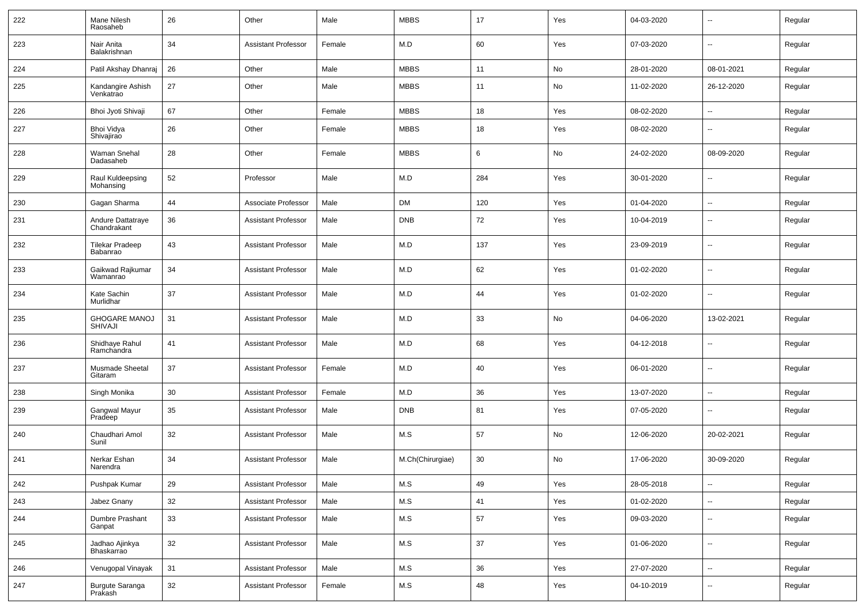| 222 | Mane Nilesh<br>Raosaheb                | 26 | Other                      | Male   | <b>MBBS</b>      | 17  | Yes | 04-03-2020 | $\overline{\phantom{a}}$ | Regular |
|-----|----------------------------------------|----|----------------------------|--------|------------------|-----|-----|------------|--------------------------|---------|
| 223 | Nair Anita<br>Balakrishnan             | 34 | <b>Assistant Professor</b> | Female | M.D              | 60  | Yes | 07-03-2020 | $\sim$                   | Regular |
| 224 | Patil Akshay Dhanraj                   | 26 | Other                      | Male   | <b>MBBS</b>      | 11  | No  | 28-01-2020 | 08-01-2021               | Regular |
| 225 | Kandangire Ashish<br>Venkatrao         | 27 | Other                      | Male   | <b>MBBS</b>      | 11  | No  | 11-02-2020 | 26-12-2020               | Regular |
| 226 | Bhoi Jyoti Shivaji                     | 67 | Other                      | Female | <b>MBBS</b>      | 18  | Yes | 08-02-2020 | $\sim$                   | Regular |
| 227 | Bhoi Vidya<br>Shivajirao               | 26 | Other                      | Female | <b>MBBS</b>      | 18  | Yes | 08-02-2020 | $\sim$                   | Regular |
| 228 | Waman Snehal<br>Dadasaheb              | 28 | Other                      | Female | <b>MBBS</b>      | 6   | No  | 24-02-2020 | 08-09-2020               | Regular |
| 229 | Raul Kuldeepsing<br>Mohansing          | 52 | Professor                  | Male   | M.D              | 284 | Yes | 30-01-2020 | $\sim$                   | Regular |
| 230 | Gagan Sharma                           | 44 | Associate Professor        | Male   | <b>DM</b>        | 120 | Yes | 01-04-2020 | $\sim$                   | Regular |
| 231 | Andure Dattatraye<br>Chandrakant       | 36 | <b>Assistant Professor</b> | Male   | <b>DNB</b>       | 72  | Yes | 10-04-2019 | $\overline{\phantom{a}}$ | Regular |
| 232 | <b>Tilekar Pradeep</b><br>Babanrao     | 43 | <b>Assistant Professor</b> | Male   | M.D              | 137 | Yes | 23-09-2019 | $\overline{\phantom{a}}$ | Regular |
| 233 | Gaikwad Rajkumar<br>Wamanrao           | 34 | <b>Assistant Professor</b> | Male   | M.D              | 62  | Yes | 01-02-2020 | $\overline{\phantom{a}}$ | Regular |
| 234 | <b>Kate Sachin</b><br>Murlidhar        | 37 | <b>Assistant Professor</b> | Male   | M.D              | 44  | Yes | 01-02-2020 | $\overline{\phantom{a}}$ | Regular |
| 235 | <b>GHOGARE MANOJ</b><br><b>SHIVAJI</b> | 31 | <b>Assistant Professor</b> | Male   | M.D              | 33  | No  | 04-06-2020 | 13-02-2021               | Regular |
| 236 | Shidhaye Rahul<br>Ramchandra           | 41 | <b>Assistant Professor</b> | Male   | M.D              | 68  | Yes | 04-12-2018 | $\overline{\phantom{a}}$ | Regular |
| 237 | <b>Musmade Sheetal</b><br>Gitaram      | 37 | <b>Assistant Professor</b> | Female | M.D              | 40  | Yes | 06-01-2020 | $\overline{\phantom{a}}$ | Regular |
| 238 | Singh Monika                           | 30 | <b>Assistant Professor</b> | Female | M.D              | 36  | Yes | 13-07-2020 | $\overline{\phantom{a}}$ | Regular |
| 239 | Gangwal Mayur<br>Pradeep               | 35 | <b>Assistant Professor</b> | Male   | <b>DNB</b>       | 81  | Yes | 07-05-2020 | $\overline{\phantom{a}}$ | Regular |
| 240 | Chaudhari Amol<br>Sunil                | 32 | <b>Assistant Professor</b> | Male   | M.S              | 57  | No  | 12-06-2020 | 20-02-2021               | Regular |
| 241 | Nerkar Eshan<br>Narendra               | 34 | <b>Assistant Professor</b> | Male   | M.Ch(Chirurgiae) | 30  | No  | 17-06-2020 | 30-09-2020               | Regular |
| 242 | Pushpak Kumar                          | 29 | <b>Assistant Professor</b> | Male   | M.S              | 49  | Yes | 28-05-2018 | $\overline{\phantom{a}}$ | Regular |
| 243 | Jabez Gnany                            | 32 | <b>Assistant Professor</b> | Male   | M.S              | 41  | Yes | 01-02-2020 | $\sim$                   | Regular |
| 244 | Dumbre Prashant<br>Ganpat              | 33 | <b>Assistant Professor</b> | Male   | M.S              | 57  | Yes | 09-03-2020 | $\sim$                   | Regular |
| 245 | Jadhao Ajinkya<br>Bhaskarrao           | 32 | <b>Assistant Professor</b> | Male   | M.S              | 37  | Yes | 01-06-2020 | $\sim$                   | Regular |
| 246 | Venugopal Vinayak                      | 31 | <b>Assistant Professor</b> | Male   | M.S              | 36  | Yes | 27-07-2020 | $\overline{\phantom{a}}$ | Regular |
| 247 | Burgute Saranga<br>Prakash             | 32 | <b>Assistant Professor</b> | Female | M.S              | 48  | Yes | 04-10-2019 | $\sim$                   | Regular |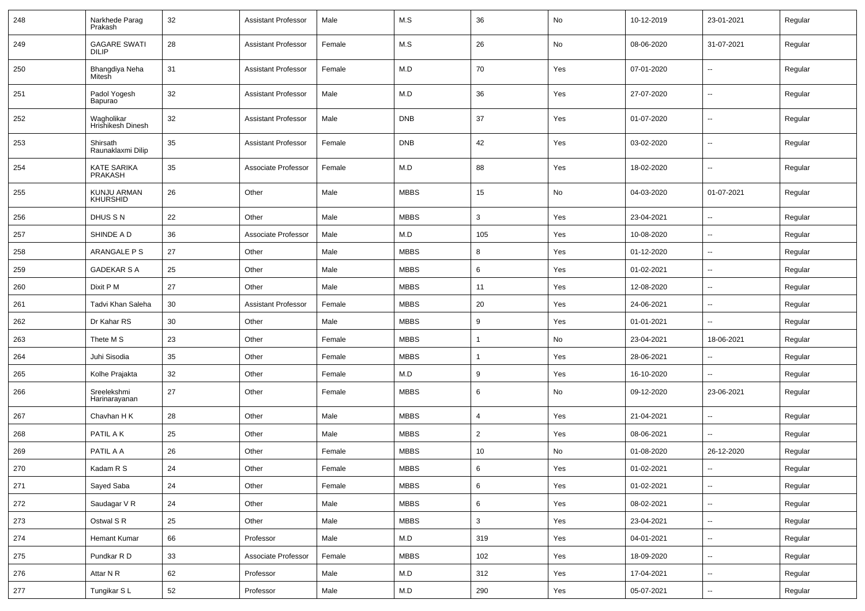| 248 | Narkhede Parag<br>Prakash            | 32 | <b>Assistant Professor</b> | Male   | M.S         | 36             | No  | 10-12-2019 | 23-01-2021               | Regular |
|-----|--------------------------------------|----|----------------------------|--------|-------------|----------------|-----|------------|--------------------------|---------|
| 249 | <b>GAGARE SWATI</b><br><b>DILIP</b>  | 28 | <b>Assistant Professor</b> | Female | M.S         | 26             | No  | 08-06-2020 | 31-07-2021               | Regular |
| 250 | Bhangdiya Neha<br>Mitesh             | 31 | <b>Assistant Professor</b> | Female | M.D         | 70             | Yes | 07-01-2020 | $\sim$                   | Regular |
| 251 | Padol Yogesh<br>Bapurao              | 32 | <b>Assistant Professor</b> | Male   | M.D         | 36             | Yes | 27-07-2020 | $\sim$                   | Regular |
| 252 | Wagholikar<br>Hrishikesh Dinesh      | 32 | <b>Assistant Professor</b> | Male   | <b>DNB</b>  | 37             | Yes | 01-07-2020 | $\sim$                   | Regular |
| 253 | Shirsath<br>Raunaklaxmi Dilip        | 35 | <b>Assistant Professor</b> | Female | <b>DNB</b>  | 42             | Yes | 03-02-2020 | $\sim$                   | Regular |
| 254 | <b>KATE SARIKA</b><br><b>PRAKASH</b> | 35 | Associate Professor        | Female | M.D         | 88             | Yes | 18-02-2020 | $\overline{\phantom{a}}$ | Regular |
| 255 | KUNJU ARMAN<br><b>KHURSHID</b>       | 26 | Other                      | Male   | <b>MBBS</b> | 15             | No  | 04-03-2020 | 01-07-2021               | Regular |
| 256 | DHUS S N                             | 22 | Other                      | Male   | <b>MBBS</b> | 3              | Yes | 23-04-2021 | $\sim$                   | Regular |
| 257 | SHINDE A D                           | 36 | Associate Professor        | Male   | M.D         | 105            | Yes | 10-08-2020 | --                       | Regular |
| 258 | ARANGALE P S                         | 27 | Other                      | Male   | <b>MBBS</b> | 8              | Yes | 01-12-2020 | $\overline{\phantom{a}}$ | Regular |
| 259 | <b>GADEKAR S A</b>                   | 25 | Other                      | Male   | <b>MBBS</b> | 6              | Yes | 01-02-2021 | $\overline{\phantom{a}}$ | Regular |
| 260 | Dixit P M                            | 27 | Other                      | Male   | <b>MBBS</b> | 11             | Yes | 12-08-2020 | $\overline{\phantom{a}}$ | Regular |
| 261 | Tadvi Khan Saleha                    | 30 | <b>Assistant Professor</b> | Female | <b>MBBS</b> | 20             | Yes | 24-06-2021 | $\sim$                   | Regular |
| 262 | Dr Kahar RS                          | 30 | Other                      | Male   | <b>MBBS</b> | 9              | Yes | 01-01-2021 | $\sim$                   | Regular |
| 263 | Thete M S                            | 23 | Other                      | Female | <b>MBBS</b> |                | No  | 23-04-2021 | 18-06-2021               | Regular |
| 264 | Juhi Sisodia                         | 35 | Other                      | Female | <b>MBBS</b> |                | Yes | 28-06-2021 | --                       | Regular |
| 265 | Kolhe Prajakta                       | 32 | Other                      | Female | M.D         | 9              | Yes | 16-10-2020 |                          | Regular |
| 266 | Sreelekshmi<br>Harinarayanan         | 27 | Other                      | Female | <b>MBBS</b> | 6              | No  | 09-12-2020 | 23-06-2021               | Regular |
| 267 | Chavhan H K                          | 28 | Other                      | Male   | <b>MBBS</b> | $\overline{4}$ | Yes | 21-04-2021 | --                       | Regular |
| 268 | PATIL A K                            | 25 | Other                      | Male   | <b>MBBS</b> | $\overline{2}$ | Yes | 08-06-2021 | $\sim$                   | Regular |
| 269 | PATIL A A                            | 26 | Other                      | Female | <b>MBBS</b> | 10             | No  | 01-08-2020 | 26-12-2020               | Regular |
| 270 | Kadam R S                            | 24 | Other                      | Female | <b>MBBS</b> | 6              | Yes | 01-02-2021 | $\sim$                   | Regular |
| 271 | Sayed Saba                           | 24 | Other                      | Female | <b>MBBS</b> | 6              | Yes | 01-02-2021 | Ξ.                       | Regular |
| 272 | Saudagar V R                         | 24 | Other                      | Male   | <b>MBBS</b> | 6              | Yes | 08-02-2021 | $\overline{\phantom{a}}$ | Regular |
| 273 | Ostwal S R                           | 25 | Other                      | Male   | <b>MBBS</b> | 3              | Yes | 23-04-2021 | $\overline{\phantom{a}}$ | Regular |
| 274 | Hemant Kumar                         | 66 | Professor                  | Male   | M.D         | 319            | Yes | 04-01-2021 | $\overline{\phantom{a}}$ | Regular |
| 275 | Pundkar R D                          | 33 | Associate Professor        | Female | <b>MBBS</b> | 102            | Yes | 18-09-2020 | $\sim$                   | Regular |
| 276 | Attar N R                            | 62 | Professor                  | Male   | M.D         | 312            | Yes | 17-04-2021 | --                       | Regular |
| 277 | Tungikar SL                          | 52 | Professor                  | Male   | M.D         | 290            | Yes | 05-07-2021 | $\overline{\phantom{a}}$ | Regular |